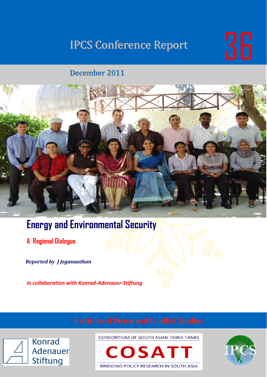# IPCS Conference Report **IPCS**



### December 2011



## **Energy and Environmental Security**

**A Regional Dialogue** 

*Reported by J Jeganaathan*

*in collaboration with Konrad‐Adenauer‐Stiftung*



**CONSORTIUM OF SOUTH ASIAN THINK TANKS** 



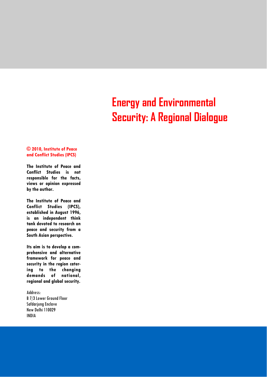## **Energy and Environmental Security: A Regional Dialogue**

#### **© 2010, Institute of Peace and Conflict Studies (IPCS)**

**The Institute of Peace and Conflict Studies is not responsible for the facts, views or opinion expressed by the author.** 

**The Institute of Peace and Conflict Studies (IPCS), established in August 1996, is an independent think tank devoted to research on peace and security from a South Asian perspective.** 

**Its aim is to develop a comprehensive and alternative framework for peace and security in the region catering to the changing demands of national, regional and global security.** 

Address: B 7/3 Lower Ground Floor Safdarjung Enclave New Delhi 110029 INDIA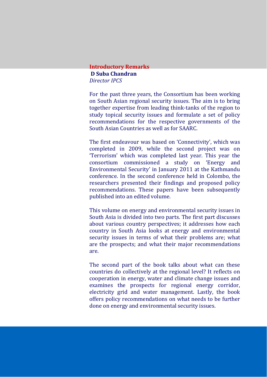#### **Introductory Remarks D Suba Chandran** *Director IPCS*

For the past three years, the Consortium has been working on South Asian regional security issues. The aim is to bring together expertise from leading think‐tanks of the region to study topical security issues and formulate a set of policy recommendations for the respective governments of the South Asian Countries as well as for SAARC.

The first endeavour was based on 'Connectivity', which was completed in 2009, while the second project was on 'Terrorism' which was completed last year. This year the consortium commissioned a study on 'Energy and Environmental Security' in January 2011 at the Kathmandu conference. In the second conference held in Colombo, the researchers presented their findings and proposed policy recommendations. These papers have been subsequently published into an edited volume.

This volume on energy and environmental security issues in South Asia is divided into two parts. The first part discusses about various country perspectives; it addresses how each country in South Asia looks at energy and environmental security issues in terms of what their problems are; what are the prospects; and what their major recommendations are.

The second part of the book talks about what can these countries do collectively at the regional level? It reflects on cooperation in energy, water and climate change issues and examines the prospects for regional energy corridor, electricity grid and water management. Lastly, the book offers policy recommendations on what needs to be further done on energy and environmental security issues.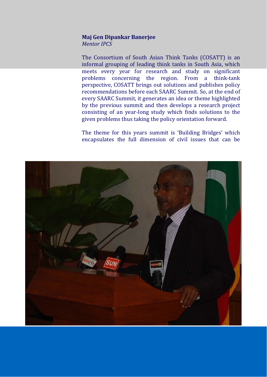#### **Maj Gen Dipankar Banerjee**

*Mentor IPCS*

The Consortium of South Asian Think Tanks (COSATT) is an informal grouping of leading think tanks in South Asia, which meets every year for research and study on significant problems concerning the region. From a think‐tank perspective, COSATT brings out solutions and publishes policy recommendations before each SAARC Summit. So, at the end of every SAARC Summit, it generates an idea or theme highlighted by the previous summit and then develops a research project consisting of an year‐long study which finds solutions to the given problems thus taking the policy orientation forward.

The theme for this years summit is 'Building Bridges' which encapsulates the full dimension of civil issues that can be

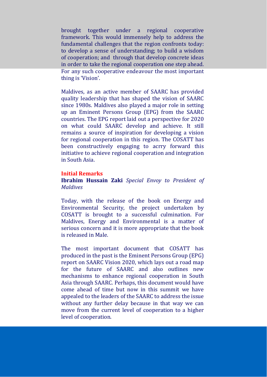brought together under a regional cooperative framework. This would immensely help to address the fundamental challenges that the region confronts today: to develop a sense of understanding; to build a wisdom of cooperation; and through that develop concrete ideas in order to take the regional cooperation one step ahead. For any such cooperative endeavour the most important thing is 'Vision'.

Maldives, as an active member of SAARC has provided quality leadership that has shaped the vision of SAARC since 1980s. Maldives also played a major role in setting up an Eminent Persons Group (EPG) from the SAARC countries. The EPG report laid out a perspective for 2020 on what could SAARC develop and achieve. It still remains a source of inspiration for developing a vision for regional cooperation in this region. The COSATT has been constructively engaging to acrry forward this initiative to achieve regional cooperation and integration in South Asia.

#### **Initial Remarks**

#### **Ibrahim Hussain Zaki** *Special Envoy to President of Maldives*

Today, with the release of the book on Energy and Environmental Security, the project undertaken by COSATT is brought to a successful culmination. For Maldives, Energy and Environmental is a matter of serious concern and it is more appropriate that the book is released in Male.

The most important document that COSATT has produced in the past is the Eminent Persons Group (EPG) report on SAARC Vision 2020, which lays out a road map for the future of SAARC and also outlines new mechanisms to enhance regional cooperation in South Asia through SAARC. Perhaps, this document would have come ahead of time but now in this summit we have appealed to the leaders of the SAARC to address the issue without any further delay because in that way we can move from the current level of cooperation to a higher level of cooperation.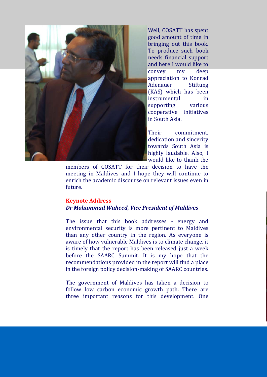

Well, COSATT has spent good amount of time in bringing out this book. To produce such book needs financial support and here I would like to convey my deep appreciation to Konrad Adenauer Stiftung (KAS) which has been instrumental in supporting various cooperative initiatives in South Asia.

Their commitment. dedication and sincerity towards South Asia is highly laudable. Also, I would like to thank the

members of COSATT for their decision to have the meeting in Maldives and I hope they will continue to enrich the academic discourse on relevant issues even in future.

#### **Keynote Address** *Dr Mohammad Waheed, Vice President of Maldives*

The issue that this book addresses - energy and environmental security is more pertinent to Maldives than any other country in the region. As everyone is aware of how vulnerable Maldives is to climate change, it is timely that the report has been released just a week before the SAARC Summit. It is my hope that the recommendations provided in the report will find a place in the foreign policy decision‐making of SAARC countries.

The government of Maldives has taken a decision to follow low carbon economic growth path. There are three important reasons for this development. One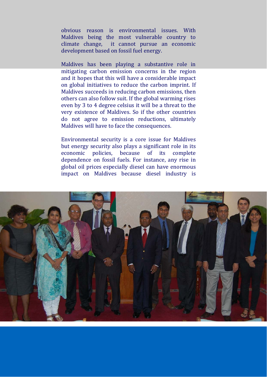obvious reason is environmental issues. With Maldives being the most vulnerable country to climate change, it cannot pursue an economic development based on fossil fuel energy.

Maldives has been playing a substantive role in mitigating carbon emission concerns in the region and it hopes that this will have a considerable impact on global initiatives to reduce the carbon imprint. If Maldives succeeds in reducing carbon emissions, then others can also follow suit. If the global warming rises even by 3 to 4 degree celsius it will be a threat to the very existence of Maldives. So if the other countries do not agree to emission reductions, ultimately Maldives will have to face the consequences.

Environmental security is a core issue for Maldives but energy security also plays a significant role in its economic policies, because of its complete dependence on fossil fuels. For instance, any rise in global oil prices especially diesel can have enormous impact on Maldives because diesel industry is

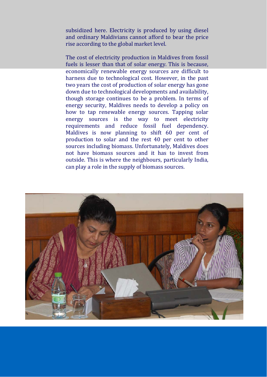subsidized here. Electricity is produced by using diesel and ordinary Maldivians cannot afford to bear the price rise according to the global market level.

The cost of electricity production in Maldives from fossil fuels is lesser than that of solar energy. This is because, economically renewable energy sources are difficult to harness due to technological cost. However, in the past two years the cost of production of solar energy has gone down due to technological developments and availability, though storage continues to be a problem. In terms of energy security, Maldives needs to develop a policy on how to tap renewable energy sources. Tapping solar energy sources is the way to meet electricity requirements and reduce fossil fuel dependency. Maldives is now planning to shift 60 per cent of production to solar and the rest 40 per cent to other sources including biomass. Unfortunately, Maldives does not have biomass sources and it has to invest from outside. This is where the neighbours, particularly India, can play a role in the supply of biomass sources.

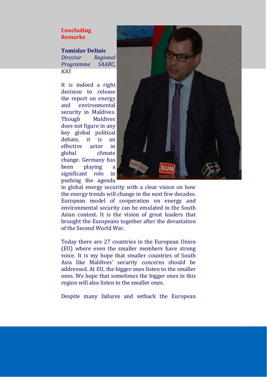#### **Concluding Remarks**

#### **Tomislav Delinic**

*Director Regional Programme SAARC, KAS*

It is indeed a right decision to release the report on energy and environmental security in Maldives. Though Maldives does not figure in any key global political debate, it is an effective actor in global climate change. Germany has been playing a significant role in pushing the agenda



in global energy security with a clear vision on how the energy trends will change in the next few decades. European model of cooperation on energy and environmental security can be emulated in the South Asian context. It is the vision of great leaders that brought the Europeans together after the devastation of the Second World War.

Today there are 27 countries in the European Union (EU) where even the smaller members have strong voice. It is my hope that smaller countries of South Asia like Maldives' security concerns should be addressed. At EU, the bigger ones listen to the smaller ones. We hope that sometimes the bigger ones in this region will also listen to the smaller ones.

Despite many failures and setback the European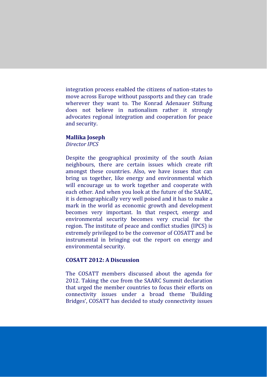integration process enabled the citizens of nation‐states to move across Europe without passports and they can trade wherever they want to. The Konrad Adenauer Stiftung does not believe in nationalism rather it strongly advocates regional integration and cooperation for peace and security.

#### **Mallika Joseph**

*Director IPCS*

Despite the geographical proximity of the south Asian neighbours, there are certain issues which create rift amongst these countries. Also, we have issues that can bring us together, like energy and environmental which will encourage us to work together and cooperate with each other. And when you look at the future of the SAARC, it is demographically very well poised and it has to make a mark in the world as economic growth and development becomes very important. In that respect, energy and environmental security becomes very crucial for the region. The institute of peace and conflict studies (IPCS) is extremely privileged to be the convenor of COSATT and be instrumental in bringing out the report on energy and environmental security.

#### **COSATT 2012: A Discussion**

The COSATT members discussed about the agenda for 2012. Taking the cue from the SAARC Summit declaration that urged the member countries to focus their efforts on connectivity issues under a broad theme 'Building Bridges', COSATT has decided to study connectivity issues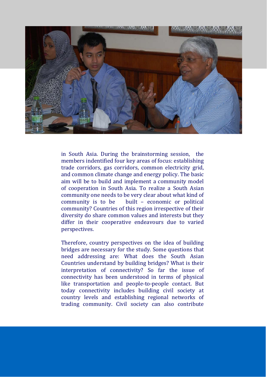

in South Asia. During the brainstorming session, the members indentified four key areas of focus: establishing trade corridors, gas corridors, common electricity grid, and common climate change and energy policy. The basic aim will be to build and implement a community model of cooperation in South Asia. To realize a South Asian community one needs to be very clear about what kind of community is to be built – economic or political community? Countries of this region irrespective of their diversity do share common values and interests but they differ in their cooperative endeavours due to varied perspectives.

Therefore, country perspectives on the idea of building bridges are necessary for the study. Some questions that need addressing are: What does the South Asian Countries understand by building bridges? What is their interpretation of connectivity? So far the issue of connectivity has been understood in terms of physical like transportation and people‐to‐people contact. But today connectivity includes building civil society at country levels and establishing regional networks of trading community. Civil society can also contribute